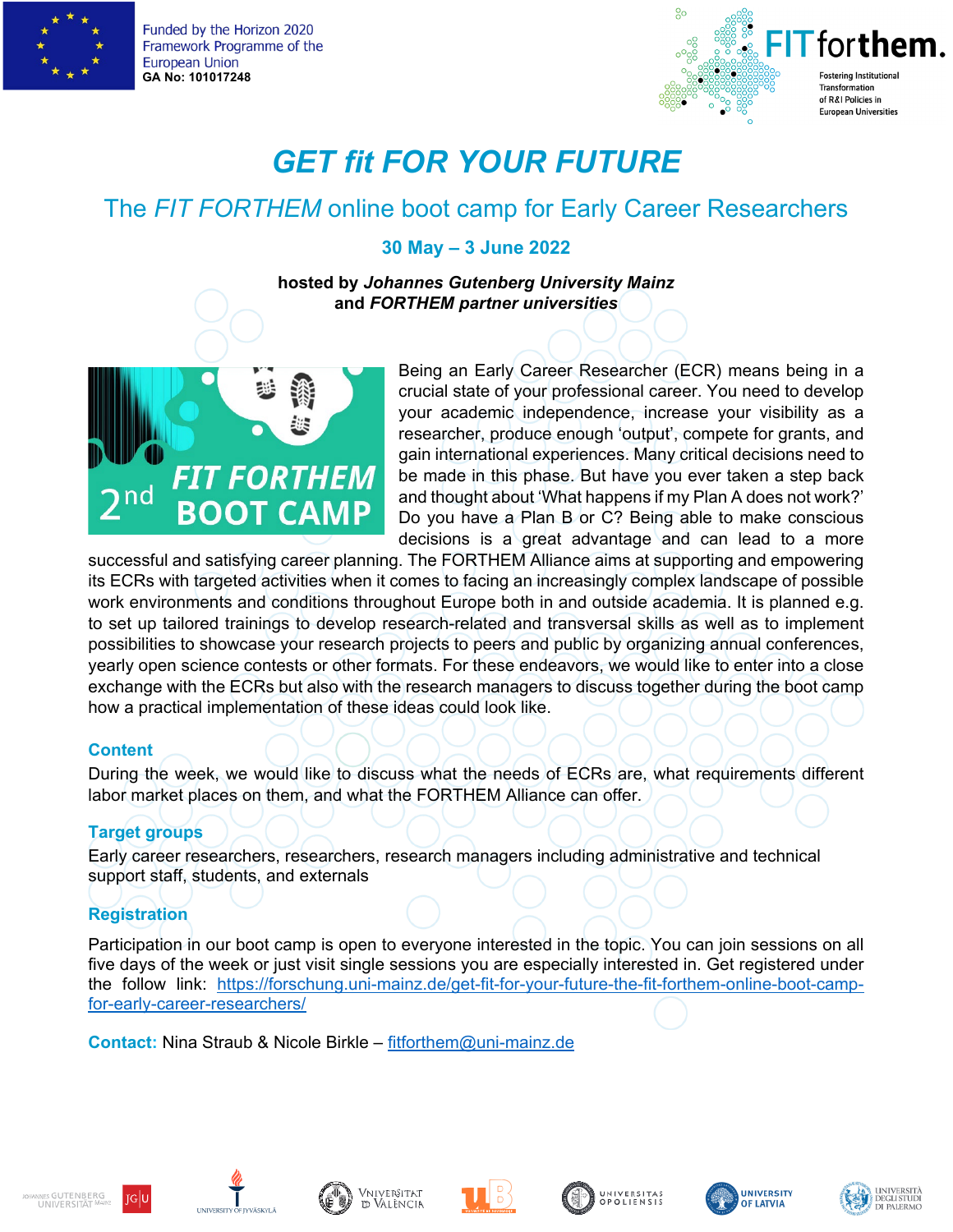

Funded by the Horizon 2020 Framework Programme of the **European Union GA No: 101017248**



# *GET fit FOR YOUR FUTURE*

## The *FIT FORTHEM* online boot camp for Early Career Researchers

### **30 May – 3 June 2022**

**hosted by** *Johannes Gutenberg University Mainz*  **and** *FORTHEM partner universities* 



Being an Early Career Researcher (ECR) means being in a crucial state of your professional career. You need to develop your academic independence, increase your visibility as a researcher, produce enough 'output', compete for grants, and gain international experiences. Many critical decisions need to be made in this phase. But have you ever taken a step back and thought about 'What happens if my Plan A does not work?' Do you have a Plan B or C? Being able to make conscious decisions is a great advantage and can lead to a more

successful and satisfying career planning. The FORTHEM Alliance aims at supporting and empowering its ECRs with targeted activities when it comes to facing an increasingly complex landscape of possible work environments and conditions throughout Europe both in and outside academia. It is planned e.g. to set up tailored trainings to develop research-related and transversal skills as well as to implement possibilities to showcase your research projects to peers and public by organizing annual conferences, yearly open science contests or other formats. For these endeavors, we would like to enter into a close exchange with the ECRs but also with the research managers to discuss together during the boot camp how a practical implementation of these ideas could look like.

### **Content**

During the week, we would like to discuss what the needs of ECRs are, what requirements different labor market places on them, and what the FORTHEM Alliance can offer.

### **Target groups**

Early career researchers, researchers, research managers including administrative and technical support staff, students, and externals

### **Registration**

Participation in our boot camp is open to everyone interested in the topic. You can join sessions on all five days of the week or just visit single sessions you are especially interested in. Get registered under the follow link: [https://forschung.uni-mainz.de/get-fit-for-your-future-the-fit-forthem-online-boot-camp](https://forschung.uni-mainz.de/get-fit-for-your-future-the-fit-forthem-online-boot-camp-for-early-career-researchers/)[for-early-career-researchers/](https://forschung.uni-mainz.de/get-fit-for-your-future-the-fit-forthem-online-boot-camp-for-early-career-researchers/)

**Contact:** Nina Straub & Nicole Birkle – [fitforthem@uni-mainz.de](mailto:fitforthem@uni-mainz.de)









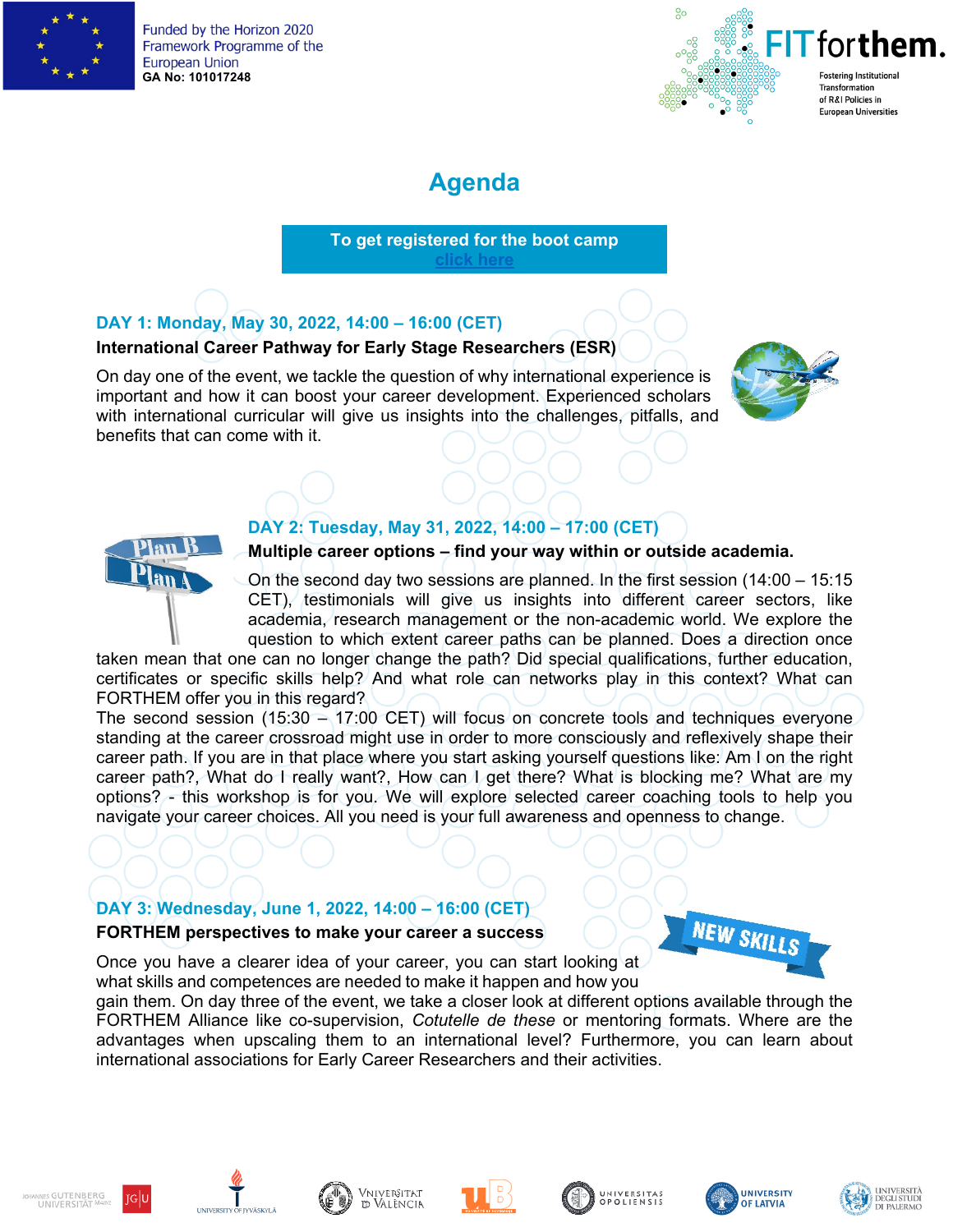

Funded by the Horizon 2020 Framework Programme of the **European Union GA No: 101017248**



## **Agenda**

**To get registered for the boot camp [click here](https://forschung.uni-mainz.de/get-fit-for-your-future-the-fit-forthem-online-boot-camp-for-early-career-researchers/)**

### **DAY 1: Monday, May 30, 2022, 14:00 – 16:00 (CET)**

### **International Career Pathway for Early Stage Researchers (ESR)**

On day one of the event, we tackle the question of why international experience is important and how it can boost your career development. Experienced scholars with international curricular will give us insights into the challenges, pitfalls, and benefits that can come with it.



### **DAY 2: Tuesday, May 31, 2022, 14:00 – 17:00 (CET)**

### **Multiple career options – find your way within or outside academia.**

On the second day two sessions are planned. In the first session (14:00 – 15:15 CET), testimonials will give us insights into different career sectors, like academia, research management or the non-academic world. We explore the question to which extent career paths can be planned. Does a direction once

taken mean that one can no longer change the path? Did special qualifications, further education, certificates or specific skills help? And what role can networks play in this context? What can FORTHEM offer you in this regard?

The second session (15:30 – 17:00 CET) will focus on concrete tools and techniques everyone standing at the career crossroad might use in order to more consciously and reflexively shape their career path. If you are in that place where you start asking yourself questions like: Am I on the right career path?, What do I really want?, How can I get there? What is blocking me? What are my options? - this workshop is for you. We will explore selected career coaching tools to help you navigate your career choices. All you need is your full awareness and openness to change.

### **DAY 3: Wednesday, June 1, 2022, 14:00 – 16:00 (CET) FORTHEM perspectives to make your career a success**



Once you have a clearer idea of your career, you can start looking at what skills and competences are needed to make it happen and how you

gain them. On day three of the event, we take a closer look at different options available through the FORTHEM Alliance like co-supervision, *Cotutelle de these* or mentoring formats. Where are the advantages when upscaling them to an international level? Furthermore, you can learn about international associations for Early Career Researchers and their activities.